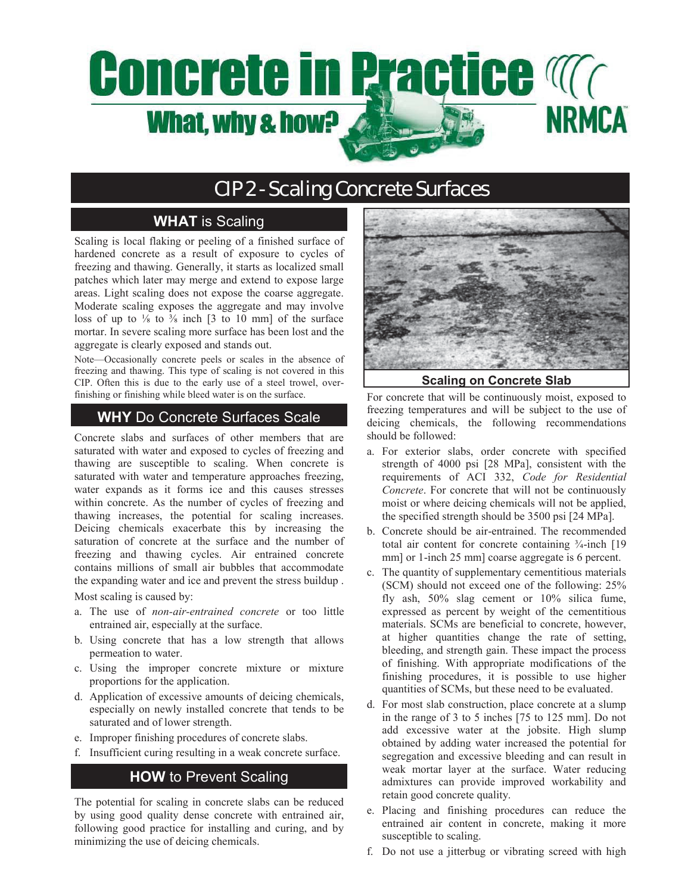# **Concrete in Practice Magnetic NRMCA What, why & how?**

# CIP 2 - Scaling Concrete Surfaces

## **WHAT** is Scaling

Scaling is local flaking or peeling of a finished surface of hardened concrete as a result of exposure to cycles of freezing and thawing. Generally, it starts as localized small patches which later may merge and extend to expose large areas. Light scaling does not expose the coarse aggregate. Moderate scaling exposes the aggregate and may involve loss of up to  $\frac{1}{8}$  to  $\frac{3}{8}$  inch [3 to 10 mm] of the surface mortar. In severe scaling more surface has been lost and the aggregate is clearly exposed and stands out.

Note—Occasionally concrete peels or scales in the absence of freezing and thawing. This type of scaling is not covered in this CIP. Often this is due to the early use of a steel trowel, overfinishing or finishing while bleed water is on the surface.

### **WHY** Do Concrete Surfaces Scale

Concrete slabs and surfaces of other members that are saturated with water and exposed to cycles of freezing and thawing are susceptible to scaling. When concrete is saturated with water and temperature approaches freezing, water expands as it forms ice and this causes stresses within concrete. As the number of cycles of freezing and thawing increases, the potential for scaling increases. Deicing chemicals exacerbate this by increasing the saturation of concrete at the surface and the number of freezing and thawing cycles. Air entrained concrete contains millions of small air bubbles that accommodate the expanding water and ice and prevent the stress buildup .

Most scaling is caused by:

- a. The use of *non-air-entrained concrete* or too little entrained air, especially at the surface.
- b. Using concrete that has a low strength that allows permeation to water.
- c. Using the improper concrete mixture or mixture proportions for the application.
- d. Application of excessive amounts of deicing chemicals, especially on newly installed concrete that tends to be saturated and of lower strength.
- e. Improper finishing procedures of concrete slabs.
- f. Insufficient curing resulting in a weak concrete surface.

### **HOW** to Prevent Scaling

The potential for scaling in concrete slabs can be reduced by using good quality dense concrete with entrained air, following good practice for installing and curing, and by minimizing the use of deicing chemicals.



**Scaling on Concrete Slab** 

For concrete that will be continuously moist, exposed to freezing temperatures and will be subject to the use of deicing chemicals, the following recommendations should be followed:

- a. For exterior slabs, order concrete with specified strength of 4000 psi [28 MPa], consistent with the requirements of ACI 332, *Code for Residential Concrete*. For concrete that will not be continuously moist or where deicing chemicals will not be applied, the specified strength should be 3500 psi [24 MPa].
- b. Concrete should be air-entrained. The recommended total air content for concrete containing  $\frac{3}{4}$ -inch [19] mm] or 1-inch 25 mm] coarse aggregate is 6 percent.
- c. The quantity of supplementary cementitious materials (SCM) should not exceed one of the following: 25% fly ash, 50% slag cement or 10% silica fume, expressed as percent by weight of the cementitious materials. SCMs are beneficial to concrete, however, at higher quantities change the rate of setting, bleeding, and strength gain. These impact the process of finishing. With appropriate modifications of the finishing procedures, it is possible to use higher quantities of SCMs, but these need to be evaluated.
- d. For most slab construction, place concrete at a slump in the range of 3 to 5 inches [75 to 125 mm]. Do not add excessive water at the jobsite. High slump obtained by adding water increased the potential for segregation and excessive bleeding and can result in weak mortar layer at the surface. Water reducing admixtures can provide improved workability and retain good concrete quality.
- e. Placing and finishing procedures can reduce the entrained air content in concrete, making it more susceptible to scaling.
- f. Do not use a jitterbug or vibrating screed with high